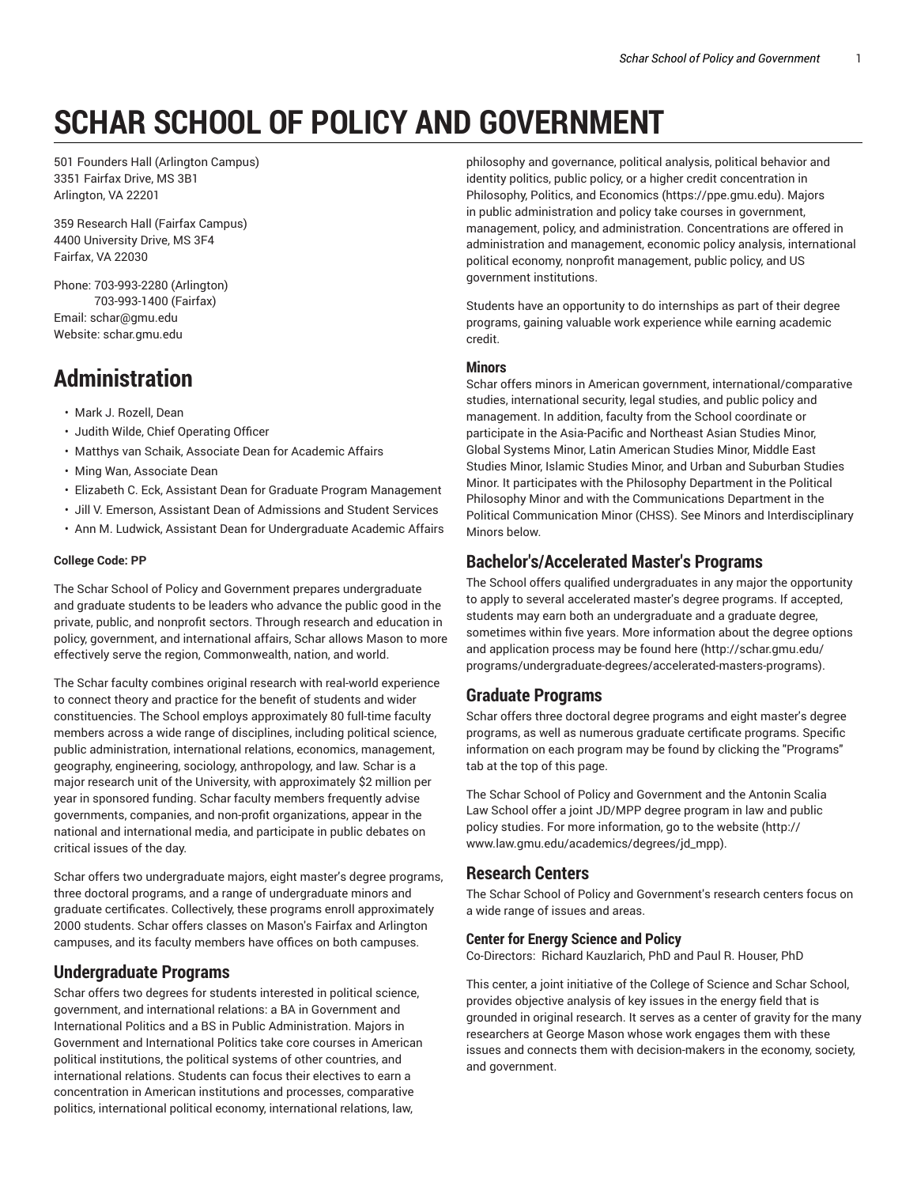# **SCHAR SCHOOL OF POLICY AND GOVERNMENT**

501 Founders Hall (Arlington Campus) 3351 Fairfax Drive, MS 3B1 Arlington, VA 22201

359 Research Hall (Fairfax Campus) 4400 University Drive, MS 3F4 Fairfax, VA 22030

Phone: 703-993-2280 (Arlington) 703-993-1400 (Fairfax) Email: schar@gmu.edu Website: schar.gmu.edu

# **Administration**

- Mark J. Rozell, Dean
- Judith Wilde, Chief Operating Officer
- Matthys van Schaik, Associate Dean for Academic Affairs
- Ming Wan, Associate Dean
- Elizabeth C. Eck, Assistant Dean for Graduate Program Management
- Jill V. Emerson, Assistant Dean of Admissions and Student Services
- Ann M. Ludwick, Assistant Dean for Undergraduate Academic Affairs

#### **College Code: PP**

The Schar School of Policy and Government prepares undergraduate and graduate students to be leaders who advance the public good in the private, public, and nonprofit sectors. Through research and education in policy, government, and international affairs, Schar allows Mason to more effectively serve the region, Commonwealth, nation, and world.

The Schar faculty combines original research with real-world experience to connect theory and practice for the benefit of students and wider constituencies. The School employs approximately 80 full-time faculty members across a wide range of disciplines, including political science, public administration, international relations, economics, management, geography, engineering, sociology, anthropology, and law. Schar is a major research unit of the University, with approximately \$2 million per year in sponsored funding. Schar faculty members frequently advise governments, companies, and non-profit organizations, appear in the national and international media, and participate in public debates on critical issues of the day.

Schar offers two undergraduate majors, eight master's degree programs, three doctoral programs, and a range of undergraduate minors and graduate certificates. Collectively, these programs enroll approximately 2000 students. Schar offers classes on Mason's Fairfax and Arlington campuses, and its faculty members have offices on both campuses.

#### **Undergraduate Programs**

Schar offers two degrees for students interested in political science, government, and international relations: a BA in Government and International Politics and a BS in Public Administration. Majors in Government and International Politics take core courses in American political institutions, the political systems of other countries, and international relations. Students can focus their electives to earn a concentration in American institutions and processes, comparative politics, international political economy, international relations, law,

philosophy and governance, political analysis, political behavior and identity politics, public policy, or a higher credit concentration in Philosophy, Politics, and Economics (https://ppe.gmu.edu). Majors in public administration and policy take courses in government, management, policy, and administration. Concentrations are offered in administration and management, economic policy analysis, international political economy, nonprofit management, public policy, and US government institutions.

Students have an opportunity to do internships as part of their degree programs, gaining valuable work experience while earning academic credit.

#### **Minors**

Schar offers minors in American government, international/comparative studies, international security, legal studies, and public policy and management. In addition, faculty from the School coordinate or participate in the Asia-Pacific and Northeast Asian Studies Minor, Global Systems Minor, Latin American Studies Minor, Middle East Studies Minor, Islamic Studies Minor, and Urban and Suburban Studies Minor. It participates with the Philosophy Department in the Political Philosophy Minor and with the Communications Department in the Political Communication Minor (CHSS). See Minors and Interdisciplinary Minors below.

# **Bachelor's/Accelerated Master's Programs**

The School offers qualified undergraduates in any major the opportunity to apply to several accelerated master's degree programs. If accepted, students may earn both an undergraduate and a graduate degree, sometimes within five years. More information about the degree options and application process may be found here (http://schar.gmu.edu/ programs/undergraduate-degrees/accelerated-masters-programs).

# **Graduate Programs**

Schar offers three doctoral degree programs and eight master's degree programs, as well as numerous graduate certificate programs. Specific information on each program may be found by clicking the "Programs" tab at the top of this page.

The Schar School of Policy and Government and the Antonin Scalia Law School offer a joint JD/MPP degree program in law and public policy studies. For more information, go to the website (http:// www.law.gmu.edu/academics/degrees/jd\_mpp).

#### **Research Centers**

The Schar School of Policy and Government's research centers focus on a wide range of issues and areas.

#### **Center for Energy Science and Policy**

Co-Directors: Richard Kauzlarich, PhD and Paul R. Houser, PhD

This center, a joint initiative of the College of Science and Schar School, provides objective analysis of key issues in the energy field that is grounded in original research. It serves as a center of gravity for the many researchers at George Mason whose work engages them with these issues and connects them with decision-makers in the economy, society, and government.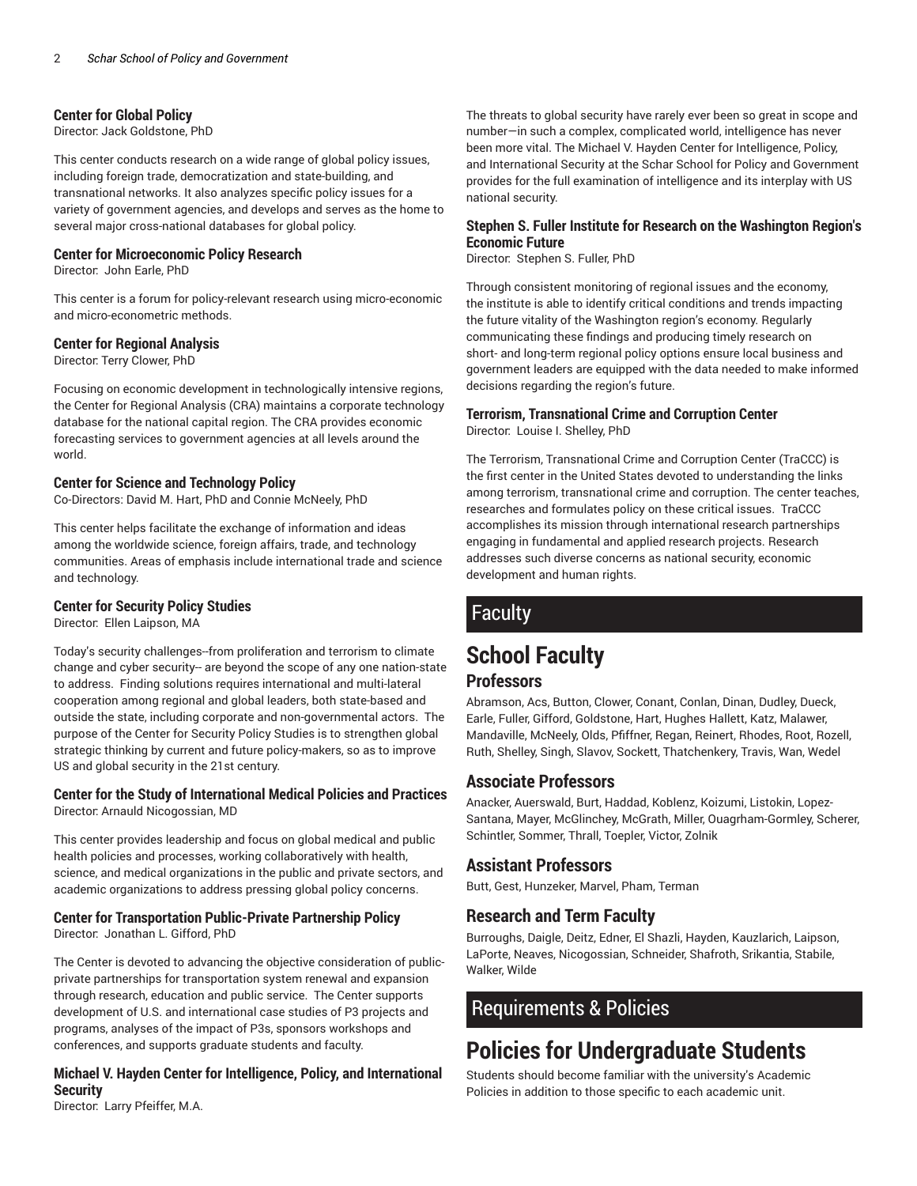#### **Center for Global Policy**

Director: Jack Goldstone, PhD

This center conducts research on a wide range of global policy issues, including foreign trade, democratization and state-building, and transnational networks. It also analyzes specific policy issues for a variety of government agencies, and develops and serves as the home to several major cross-national databases for global policy.

#### **Center for Microeconomic Policy Research**

Director: John Earle, PhD

This center is a forum for policy-relevant research using micro-economic and micro-econometric methods.

#### **Center for Regional Analysis**

Director: Terry Clower, PhD

Focusing on economic development in technologically intensive regions, the Center for Regional Analysis (CRA) maintains a corporate technology database for the national capital region. The CRA provides economic forecasting services to government agencies at all levels around the world.

#### **Center for Science and Technology Policy**

Co-Directors: David M. Hart, PhD and Connie McNeely, PhD

This center helps facilitate the exchange of information and ideas among the worldwide science, foreign affairs, trade, and technology communities. Areas of emphasis include international trade and science and technology.

#### **Center for Security Policy Studies**

Director: Ellen Laipson, MA

Today's security challenges--from proliferation and terrorism to climate change and cyber security-- are beyond the scope of any one nation-state to address. Finding solutions requires international and multi-lateral cooperation among regional and global leaders, both state-based and outside the state, including corporate and non-governmental actors. The purpose of the Center for Security Policy Studies is to strengthen global strategic thinking by current and future policy-makers, so as to improve US and global security in the 21st century.

#### **Center for the Study of International Medical Policies and Practices** Director: Arnauld Nicogossian, MD

This center provides leadership and focus on global medical and public health policies and processes, working collaboratively with health, science, and medical organizations in the public and private sectors, and academic organizations to address pressing global policy concerns.

# **Center for Transportation Public-Private Partnership Policy**

Director: Jonathan L. Gifford, PhD

The Center is devoted to advancing the objective consideration of publicprivate partnerships for transportation system renewal and expansion through research, education and public service. The Center supports development of U.S. and international case studies of P3 projects and programs, analyses of the impact of P3s, sponsors workshops and conferences, and supports graduate students and faculty.

#### **Michael V. Hayden Center for Intelligence, Policy, and International Security**

The threats to global security have rarely ever been so great in scope and number—in such a complex, complicated world, intelligence has never been more vital. The Michael V. Hayden Center for Intelligence, Policy, and International Security at the Schar School for Policy and Government provides for the full examination of intelligence and its interplay with US national security.

#### **Stephen S. Fuller Institute for Research on the Washington Region's Economic Future**

Director: Stephen S. Fuller, PhD

Through consistent monitoring of regional issues and the economy, the institute is able to identify critical conditions and trends impacting the future vitality of the Washington region's economy. Regularly communicating these findings and producing timely research on short- and long-term regional policy options ensure local business and government leaders are equipped with the data needed to make informed decisions regarding the region's future.

# **Terrorism, Transnational Crime and Corruption Center**

Director: Louise I. Shelley, PhD

The Terrorism, Transnational Crime and Corruption Center (TraCCC) is the first center in the United States devoted to understanding the links among terrorism, transnational crime and corruption. The center teaches, researches and formulates policy on these critical issues. TraCCC accomplishes its mission through international research partnerships engaging in fundamental and applied research projects. Research addresses such diverse concerns as national security, economic development and human rights.

# Faculty

# **School Faculty**

#### **Professors**

Abramson, Acs, Button, Clower, Conant, Conlan, Dinan, Dudley, Dueck, Earle, Fuller, Gifford, Goldstone, Hart, Hughes Hallett, Katz, Malawer, Mandaville, McNeely, Olds, Pfiffner, Regan, Reinert, Rhodes, Root, Rozell, Ruth, Shelley, Singh, Slavov, Sockett, Thatchenkery, Travis, Wan, Wedel

# **Associate Professors**

Anacker, Auerswald, Burt, Haddad, Koblenz, Koizumi, Listokin, Lopez-Santana, Mayer, McGlinchey, McGrath, Miller, Ouagrham-Gormley, Scherer, Schintler, Sommer, Thrall, Toepler, Victor, Zolnik

#### **Assistant Professors**

Butt, Gest, Hunzeker, Marvel, Pham, Terman

#### **Research and Term Faculty**

Burroughs, Daigle, Deitz, Edner, El Shazli, Hayden, Kauzlarich, Laipson, LaPorte, Neaves, Nicogossian, Schneider, Shafroth, Srikantia, Stabile, Walker, Wilde

# Requirements & Policies

# **Policies for Undergraduate Students**

Students should become familiar with the university's Academic Policies in addition to those specific to each academic unit.

Director: Larry Pfeiffer, M.A.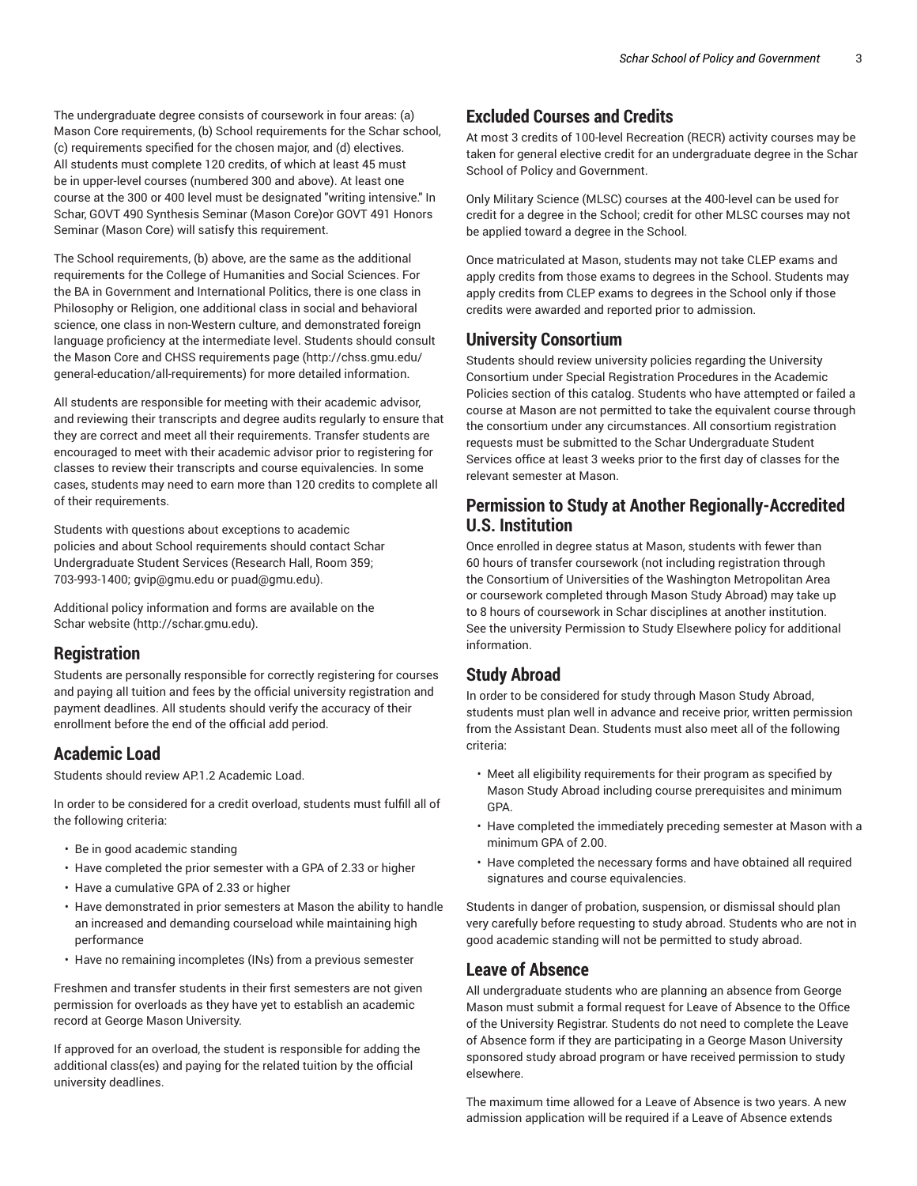The undergraduate degree consists of coursework in four areas: (a) Mason Core requirements, (b) School requirements for the Schar school, (c) requirements specified for the chosen major, and (d) electives. All students must complete 120 credits, of which at least 45 must be in upper-level courses (numbered 300 and above). At least one course at the 300 or 400 level must be designated "writing intensive." In Schar, GOVT 490 Synthesis Seminar (Mason Core)or GOVT 491 Honors Seminar (Mason Core) will satisfy this requirement.

The School requirements, (b) above, are the same as the additional requirements for the College of Humanities and Social Sciences. For the BA in Government and International Politics, there is one class in Philosophy or Religion, one additional class in social and behavioral science, one class in non-Western culture, and demonstrated foreign language proficiency at the intermediate level. Students should consult the Mason Core and CHSS requirements page (http://chss.gmu.edu/ general-education/all-requirements) for more detailed information.

All students are responsible for meeting with their academic advisor, and reviewing their transcripts and degree audits regularly to ensure that they are correct and meet all their requirements. Transfer students are encouraged to meet with their academic advisor prior to registering for classes to review their transcripts and course equivalencies. In some cases, students may need to earn more than 120 credits to complete all of their requirements.

Students with questions about exceptions to academic policies and about School requirements should contact Schar Undergraduate Student Services (Research Hall, Room 359; 703-993-1400; gvip@gmu.edu or puad@gmu.edu).

Additional policy information and forms are available on the Schar website (http://schar.gmu.edu).

# **Registration**

Students are personally responsible for correctly registering for courses and paying all tuition and fees by the official university registration and payment deadlines. All students should verify the accuracy of their enrollment before the end of the official add period.

# **Academic Load**

Students should review AP.1.2 Academic Load.

In order to be considered for a credit overload, students must fulfill all of the following criteria:

- Be in good academic standing
- Have completed the prior semester with a GPA of 2.33 or higher
- Have a cumulative GPA of 2.33 or higher
- Have demonstrated in prior semesters at Mason the ability to handle an increased and demanding courseload while maintaining high performance
- Have no remaining incompletes (INs) from a previous semester

Freshmen and transfer students in their first semesters are not given permission for overloads as they have yet to establish an academic record at George Mason University.

If approved for an overload, the student is responsible for adding the additional class(es) and paying for the related tuition by the official university deadlines.

# **Excluded Courses and Credits**

At most 3 credits of 100-level Recreation (RECR) activity courses may be taken for general elective credit for an undergraduate degree in the Schar School of Policy and Government.

Only Military Science (MLSC) courses at the 400-level can be used for credit for a degree in the School; credit for other MLSC courses may not be applied toward a degree in the School.

Once matriculated at Mason, students may not take CLEP exams and apply credits from those exams to degrees in the School. Students may apply credits from CLEP exams to degrees in the School only if those credits were awarded and reported prior to admission.

# **University Consortium**

Students should review university policies regarding the University Consortium under Special Registration Procedures in the Academic Policies section of this catalog. Students who have attempted or failed a course at Mason are not permitted to take the equivalent course through the consortium under any circumstances. All consortium registration requests must be submitted to the Schar Undergraduate Student Services office at least 3 weeks prior to the first day of classes for the relevant semester at Mason.

# **Permission to Study at Another Regionally-Accredited U.S. Institution**

Once enrolled in degree status at Mason, students with fewer than 60 hours of transfer coursework (not including registration through the Consortium of Universities of the Washington Metropolitan Area or coursework completed through Mason Study Abroad) may take up to 8 hours of coursework in Schar disciplines at another institution. See the university Permission to Study Elsewhere policy for additional information.

# **Study Abroad**

In order to be considered for study through Mason Study Abroad, students must plan well in advance and receive prior, written permission from the Assistant Dean. Students must also meet all of the following criteria:

- Meet all eligibility requirements for their program as specified by Mason Study Abroad including course prerequisites and minimum GPA.
- Have completed the immediately preceding semester at Mason with a minimum GPA of 2.00.
- Have completed the necessary forms and have obtained all required signatures and course equivalencies.

Students in danger of probation, suspension, or dismissal should plan very carefully before requesting to study abroad. Students who are not in good academic standing will not be permitted to study abroad.

# **Leave of Absence**

All undergraduate students who are planning an absence from George Mason must submit a formal request for Leave of Absence to the Office of the University Registrar. Students do not need to complete the Leave of Absence form if they are participating in a George Mason University sponsored study abroad program or have received permission to study elsewhere.

The maximum time allowed for a Leave of Absence is two years. A new admission application will be required if a Leave of Absence extends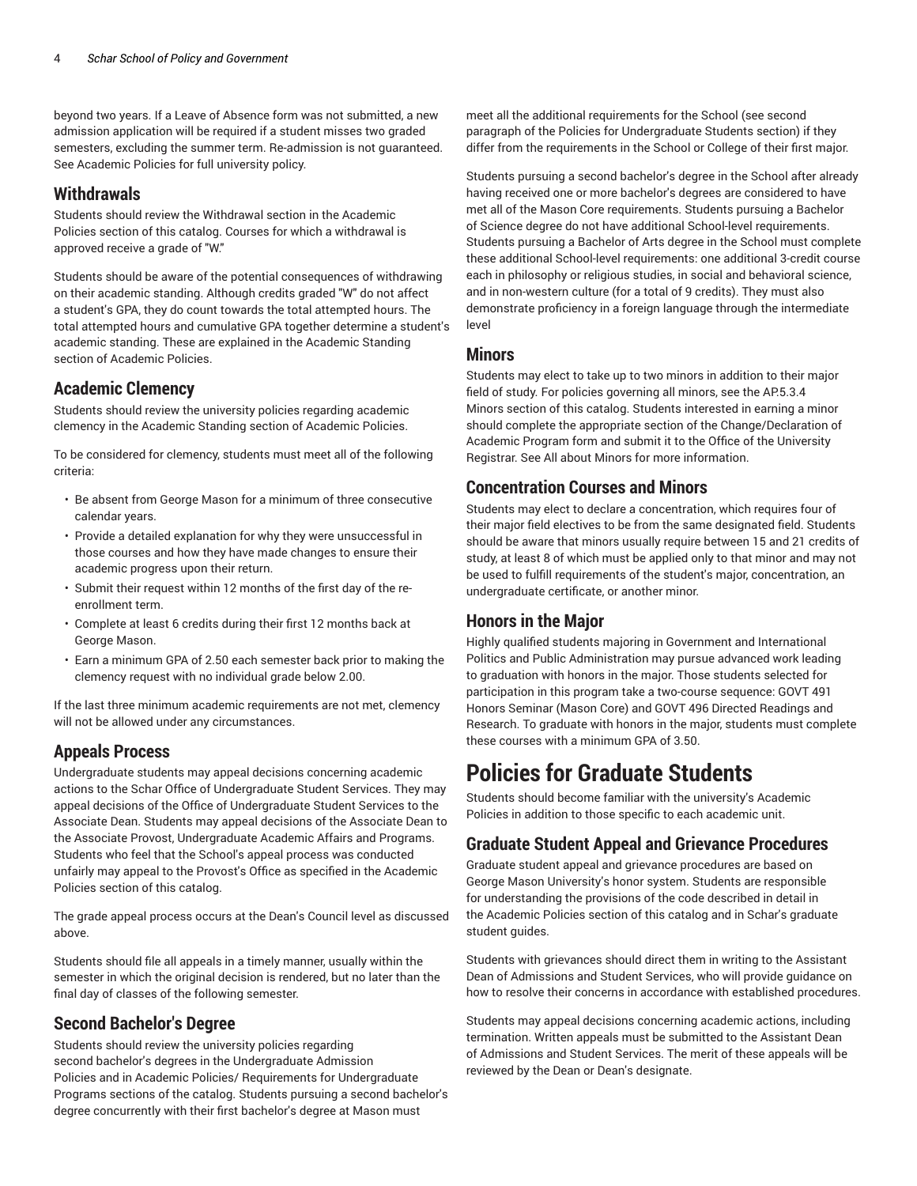beyond two years. If a Leave of Absence form was not submitted, a new admission application will be required if a student misses two graded semesters, excluding the summer term. Re-admission is not guaranteed. See Academic Policies for full university policy.

### **Withdrawals**

Students should review the Withdrawal section in the Academic Policies section of this catalog. Courses for which a withdrawal is approved receive a grade of "W."

Students should be aware of the potential consequences of withdrawing on their academic standing. Although credits graded "W" do not affect a student's GPA, they do count towards the total attempted hours. The total attempted hours and cumulative GPA together determine a student's academic standing. These are explained in the Academic Standing section of Academic Policies.

# **Academic Clemency**

Students should review the university policies regarding academic clemency in the Academic Standing section of Academic Policies.

To be considered for clemency, students must meet all of the following criteria:

- Be absent from George Mason for a minimum of three consecutive calendar years.
- Provide a detailed explanation for why they were unsuccessful in those courses and how they have made changes to ensure their academic progress upon their return.
- Submit their request within 12 months of the first day of the reenrollment term.
- Complete at least 6 credits during their first 12 months back at George Mason.
- Earn a minimum GPA of 2.50 each semester back prior to making the clemency request with no individual grade below 2.00.

If the last three minimum academic requirements are not met, clemency will not be allowed under any circumstances.

# **Appeals Process**

Undergraduate students may appeal decisions concerning academic actions to the Schar Office of Undergraduate Student Services. They may appeal decisions of the Office of Undergraduate Student Services to the Associate Dean. Students may appeal decisions of the Associate Dean to the Associate Provost, Undergraduate Academic Affairs and Programs. Students who feel that the School's appeal process was conducted unfairly may appeal to the Provost's Office as specified in the Academic Policies section of this catalog.

The grade appeal process occurs at the Dean's Council level as discussed above.

Students should file all appeals in a timely manner, usually within the semester in which the original decision is rendered, but no later than the final day of classes of the following semester.

# **Second Bachelor's Degree**

Students should review the university policies regarding second bachelor's degrees in the Undergraduate Admission Policies and in Academic Policies/ Requirements for Undergraduate Programs sections of the catalog. Students pursuing a second bachelor's degree concurrently with their first bachelor's degree at Mason must

meet all the additional requirements for the School (see second paragraph of the Policies for Undergraduate Students section) if they differ from the requirements in the School or College of their first major.

Students pursuing a second bachelor's degree in the School after already having received one or more bachelor's degrees are considered to have met all of the Mason Core requirements. Students pursuing a Bachelor of Science degree do not have additional School-level requirements. Students pursuing a Bachelor of Arts degree in the School must complete these additional School-level requirements: one additional 3-credit course each in philosophy or religious studies, in social and behavioral science, and in non-western culture (for a total of 9 credits). They must also demonstrate proficiency in a foreign language through the intermediate level

# **Minors**

Students may elect to take up to two minors in addition to their major field of study. For policies governing all minors, see the AP.5.3.4 Minors section of this catalog. Students interested in earning a minor should complete the appropriate section of the Change/Declaration of Academic Program form and submit it to the Office of the University Registrar. See All about Minors for more information.

# **Concentration Courses and Minors**

Students may elect to declare a concentration, which requires four of their major field electives to be from the same designated field. Students should be aware that minors usually require between 15 and 21 credits of study, at least 8 of which must be applied only to that minor and may not be used to fulfill requirements of the student's major, concentration, an undergraduate certificate, or another minor.

# **Honors in the Major**

Highly qualified students majoring in Government and International Politics and Public Administration may pursue advanced work leading to graduation with honors in the major. Those students selected for participation in this program take a two-course sequence: GOVT 491 Honors Seminar (Mason Core) and GOVT 496 Directed Readings and Research. To graduate with honors in the major, students must complete these courses with a minimum GPA of 3.50.

# **Policies for Graduate Students**

Students should become familiar with the university's Academic Policies in addition to those specific to each academic unit.

# **Graduate Student Appeal and Grievance Procedures**

Graduate student appeal and grievance procedures are based on George Mason University's honor system. Students are responsible for understanding the provisions of the code described in detail in the Academic Policies section of this catalog and in Schar's graduate student guides.

Students with grievances should direct them in writing to the Assistant Dean of Admissions and Student Services, who will provide guidance on how to resolve their concerns in accordance with established procedures.

Students may appeal decisions concerning academic actions, including termination. Written appeals must be submitted to the Assistant Dean of Admissions and Student Services. The merit of these appeals will be reviewed by the Dean or Dean's designate.